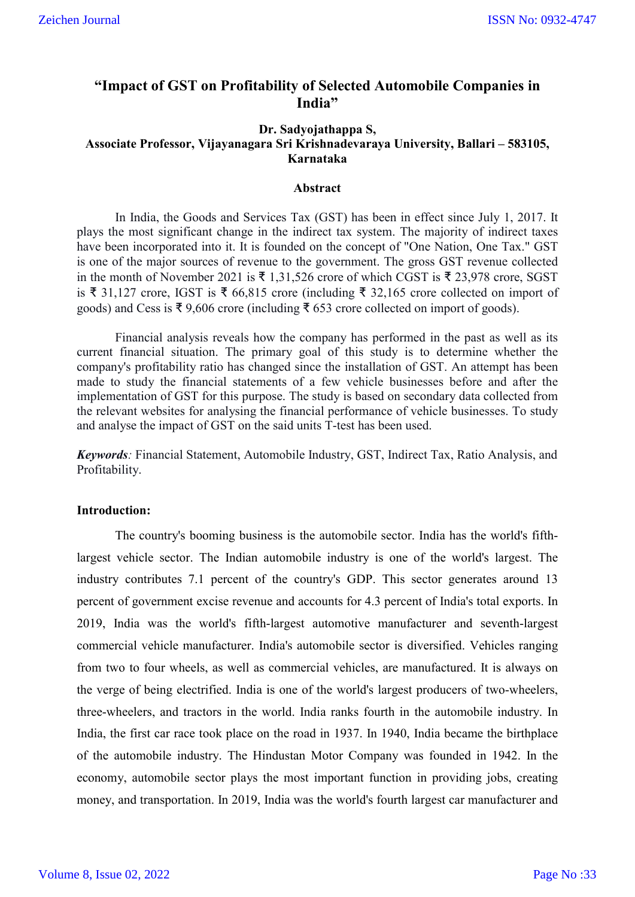# **"Impact of GST on Profitability of Selected Automobile Companies in India"**

# **Dr. Sadyojathappa S, Associate Professor, Vijayanagara Sri Krishnadevaraya University, Ballari – 583105, Karnataka**

#### **Abstract**

In India, the Goods and Services Tax (GST) has been in effect since July 1, 2017. It plays the most significant change in the indirect tax system. The majority of indirect taxes have been incorporated into it. It is founded on the concept of "One Nation, One Tax." GST is one of the major sources of revenue to the government. The gross GST revenue collected in the month of November 2021 is ₹ 1,31,526 crore of which CGST is ₹ 23,978 crore, SGST is ₹ 31,127 crore, IGST is ₹ 66,815 crore (including ₹ 32,165 crore collected on import of goods) and Cess is ₹ 9,606 crore (including ₹ 653 crore collected on import of goods).

Financial analysis reveals how the company has performed in the past as well as its current financial situation. The primary goal of this study is to determine whether the company's profitability ratio has changed since the installation of GST. An attempt has been made to study the financial statements of a few vehicle businesses before and after the implementation of GST for this purpose. The study is based on secondary data collected from the relevant websites for analysing the financial performance of vehicle businesses. To study and analyse the impact of GST on the said units T-test has been used.

*Keywords:* Financial Statement, Automobile Industry, GST, Indirect Tax, Ratio Analysis, and Profitability.

## **Introduction:**

The country's booming business is the automobile sector. India has the world's fifthlargest vehicle sector. The Indian automobile industry is one of the world's largest. The industry contributes 7.1 percent of the country's GDP. This sector generates around 13 percent of government excise revenue and accounts for 4.3 percent of India's total exports. In 2019, India was the world's fifth-largest automotive manufacturer and seventh-largest commercial vehicle manufacturer. India's automobile sector is diversified. Vehicles ranging from two to four wheels, as well as commercial vehicles, are manufactured. It is always on the verge of being electrified. India is one of the world's largest producers of two-wheelers, three-wheelers, and tractors in the world. India ranks fourth in the automobile industry. In India, the first car race took place on the road in 1937. In 1940, India became the birthplace of the automobile industry. The Hindustan Motor Company was founded in 1942. In the economy, automobile sector plays the most important function in providing jobs, creating money, and transportation. In 2019, India was the world's fourth largest car manufacturer and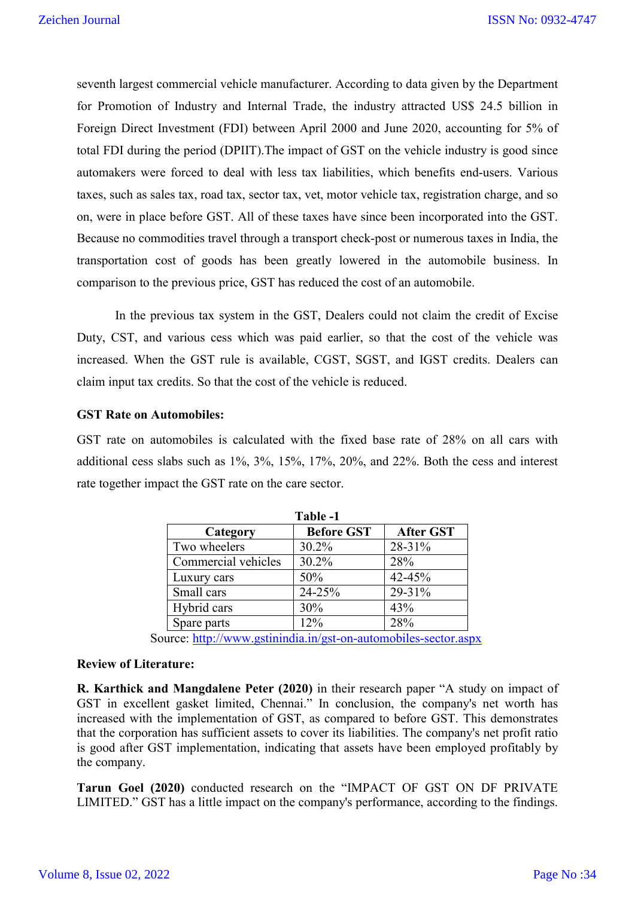seventh largest commercial vehicle manufacturer. According to data given by the Department for Promotion of Industry and Internal Trade, the industry attracted US\$ 24.5 billion in Foreign Direct Investment (FDI) between April 2000 and June 2020, accounting for 5% of total FDI during the period (DPIIT).The impact of GST on the vehicle industry is good since automakers were forced to deal with less tax liabilities, which benefits end-users. Various taxes, such as sales tax, road tax, sector tax, vet, motor vehicle tax, registration charge, and so on, were in place before GST. All of these taxes have since been incorporated into the GST. Because no commodities travel through a transport check-post or numerous taxes in India, the transportation cost of goods has been greatly lowered in the automobile business. In comparison to the previous price, GST has reduced the cost of an automobile.

In the previous tax system in the GST, Dealers could not claim the credit of Excise Duty, CST, and various cess which was paid earlier, so that the cost of the vehicle was increased. When the GST rule is available, CGST, SGST, and IGST credits. Dealers can claim input tax credits. So that the cost of the vehicle is reduced.

#### **GST Rate on Automobiles:**

GST rate on automobiles is calculated with the fixed base rate of 28% on all cars with additional cess slabs such as 1%, 3%, 15%, 17%, 20%, and 22%. Both the cess and interest rate together impact the GST rate on the care sector.

| Table -1            |                   |                  |  |  |  |  |  |  |
|---------------------|-------------------|------------------|--|--|--|--|--|--|
| Category            | <b>Before GST</b> | <b>After GST</b> |  |  |  |  |  |  |
| Two wheelers        | 30.2%             | 28-31%           |  |  |  |  |  |  |
| Commercial vehicles | 30.2%             | 28%              |  |  |  |  |  |  |
| Luxury cars         | 50%               | 42-45%           |  |  |  |  |  |  |
| Small cars          | 24-25%            | 29-31%           |  |  |  |  |  |  |
| Hybrid cars         | 30%               | 43%              |  |  |  |  |  |  |
| Spare parts         | 12%               | 28%              |  |  |  |  |  |  |

Source: http://www.gstinindia.in/gst-on-automobiles-sector.aspx

#### **Review of Literature:**

**R. Karthick and Mangdalene Peter (2020)** in their research paper "A study on impact of GST in excellent gasket limited, Chennai." In conclusion, the company's net worth has increased with the implementation of GST, as compared to before GST. This demonstrates that the corporation has sufficient assets to cover its liabilities. The company's net profit ratio is good after GST implementation, indicating that assets have been employed profitably by the company.

**Tarun Goel (2020)** conducted research on the "IMPACT OF GST ON DF PRIVATE LIMITED." GST has a little impact on the company's performance, according to the findings.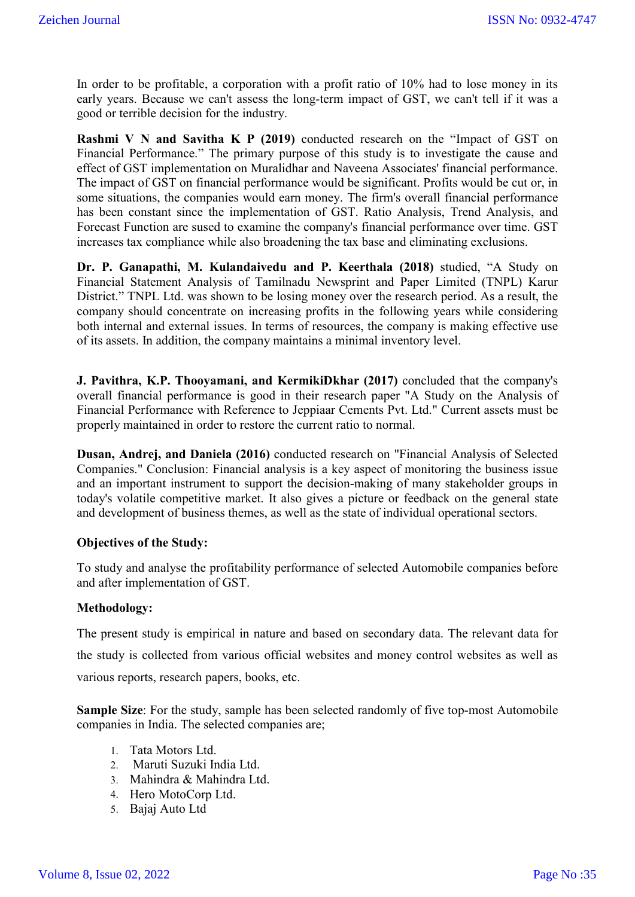In order to be profitable, a corporation with a profit ratio of 10% had to lose money in its early years. Because we can't assess the long-term impact of GST, we can't tell if it was a good or terrible decision for the industry.

**Rashmi V N and Savitha K P (2019)** conducted research on the "Impact of GST on Financial Performance." The primary purpose of this study is to investigate the cause and effect of GST implementation on Muralidhar and Naveena Associates' financial performance. The impact of GST on financial performance would be significant. Profits would be cut or, in some situations, the companies would earn money. The firm's overall financial performance has been constant since the implementation of GST. Ratio Analysis, Trend Analysis, and Forecast Function are sused to examine the company's financial performance over time. GST increases tax compliance while also broadening the tax base and eliminating exclusions.

**Dr. P. Ganapathi, M. Kulandaivedu and P. Keerthala (2018)** studied, "A Study on Financial Statement Analysis of Tamilnadu Newsprint and Paper Limited (TNPL) Karur District." TNPL Ltd. was shown to be losing money over the research period. As a result, the company should concentrate on increasing profits in the following years while considering both internal and external issues. In terms of resources, the company is making effective use of its assets. In addition, the company maintains a minimal inventory level.

**J. Pavithra, K.P. Thooyamani, and KermikiDkhar (2017)** concluded that the company's overall financial performance is good in their research paper "A Study on the Analysis of Financial Performance with Reference to Jeppiaar Cements Pvt. Ltd." Current assets must be properly maintained in order to restore the current ratio to normal.

**Dusan, Andrej, and Daniela (2016)** conducted research on "Financial Analysis of Selected Companies." Conclusion: Financial analysis is a key aspect of monitoring the business issue and an important instrument to support the decision-making of many stakeholder groups in today's volatile competitive market. It also gives a picture or feedback on the general state and development of business themes, as well as the state of individual operational sectors.

## **Objectives of the Study:**

To study and analyse the profitability performance of selected Automobile companies before and after implementation of GST.

## **Methodology:**

The present study is empirical in nature and based on secondary data. The relevant data for the study is collected from various official websites and money control websites as well as various reports, research papers, books, etc.

**Sample Size**: For the study, sample has been selected randomly of five top-most Automobile companies in India. The selected companies are;

- 1. Tata Motors Ltd.
- 2. Maruti Suzuki India Ltd.
- 3. Mahindra & Mahindra Ltd.
- 4. Hero MotoCorp Ltd.
- 5. Bajaj Auto Ltd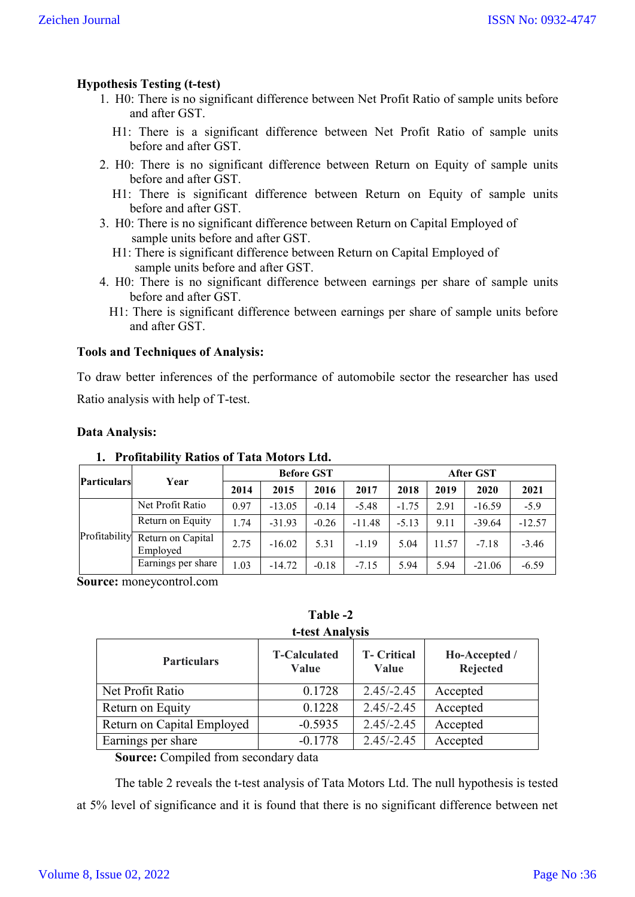# **Hypothesis Testing (t-test)**

- 1. H0: There is no significant difference between Net Profit Ratio of sample units before and after GST.
	- H1: There is a significant difference between Net Profit Ratio of sample units before and after GST.
- 2. H0: There is no significant difference between Return on Equity of sample units before and after GST.
	- H1: There is significant difference between Return on Equity of sample units before and after GST.
- 3. H0: There is no significant difference between Return on Capital Employed of sample units before and after GST.
	- H1: There is significant difference between Return on Capital Employed of sample units before and after GST.
- 4. H0: There is no significant difference between earnings per share of sample units before and after GST.
	- H1: There is significant difference between earnings per share of sample units before and after GST.

#### **Tools and Techniques of Analysis:**

To draw better inferences of the performance of automobile sector the researcher has used Ratio analysis with help of T-test.

#### **Data Analysis:**

|                    |                               |      | <b>Before GST</b> |         |          | <b>After GST</b> |       |          |          |  |
|--------------------|-------------------------------|------|-------------------|---------|----------|------------------|-------|----------|----------|--|
| <b>Particulars</b> | Year                          | 2014 | 2015              | 2016    | 2017     | 2018             | 2019  | 2020     | 2021     |  |
|                    | Net Profit Ratio              | 0.97 | $-13.05$          | $-0.14$ | $-5.48$  | $-1.75$          | 2.91  | $-16.59$ | $-5.9$   |  |
|                    | Return on Equity              | l.74 | $-31.93$          | $-0.26$ | $-11.48$ | $-5.13$          | 9.11  | $-39.64$ | $-12.57$ |  |
| Profitability      | Return on Capital<br>Employed | 2.75 | $-16.02$          | 5.31    | $-1.19$  | 5.04             | 11.57 | $-7.18$  | $-3.46$  |  |
|                    | Earnings per share            | 1.03 | $-14.72$          | $-0.18$ | $-7.15$  | 5.94             | 5.94  | $-21.06$ | $-6.59$  |  |

#### **1. Profitability Ratios of Tata Motors Ltd.**

**Source:** moneycontrol.com

**Table -2 t-test Analysis**

| <b>Particulars</b>         | <b>T-Calculated</b><br>Value | <b>T</b> - Critical<br>Value | Ho-Accepted /<br><b>Rejected</b> |
|----------------------------|------------------------------|------------------------------|----------------------------------|
|                            |                              |                              |                                  |
| Net Profit Ratio           | 0.1728                       | $2.45/-2.45$                 | Accepted                         |
| Return on Equity           | 0.1228                       | $2.45/-2.45$                 | Accepted                         |
| Return on Capital Employed | $-0.5935$                    | $2.45/-2.45$                 | Accepted                         |
| Earnings per share         | $-0.1778$                    | $2.45/-2.45$                 | Accepted                         |

**Source:** Compiled from secondary data

The table 2 reveals the t-test analysis of Tata Motors Ltd. The null hypothesis is tested at 5% level of significance and it is found that there is no significant difference between net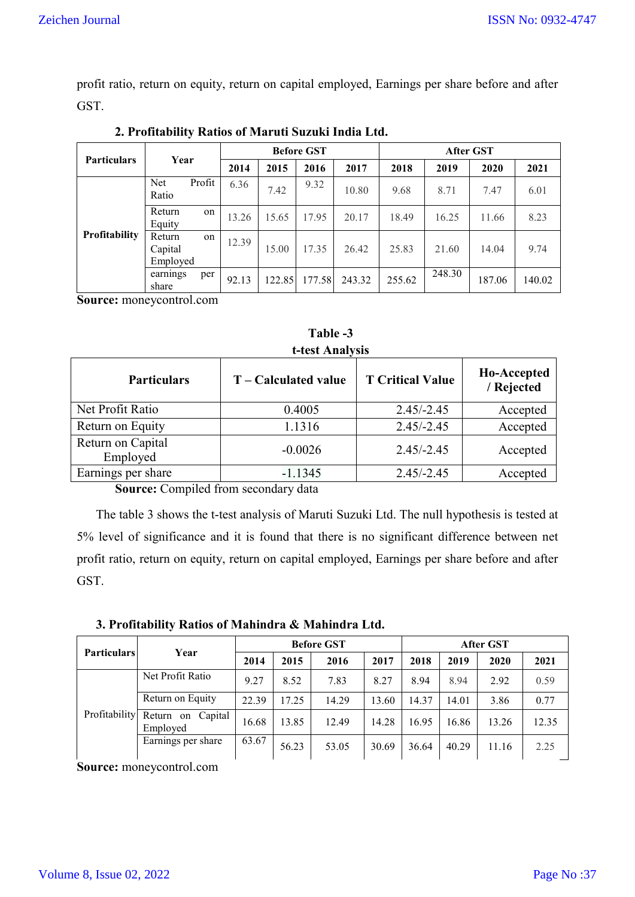profit ratio, return on equity, return on capital employed, Earnings per share before and after GST.

|                    | Year                                | <b>Before GST</b> |        |        |        | After GST |        |        |        |
|--------------------|-------------------------------------|-------------------|--------|--------|--------|-----------|--------|--------|--------|
| <b>Particulars</b> |                                     | 2014              | 2015   | 2016   | 2017   | 2018      | 2019   | 2020   | 2021   |
|                    | Profit<br>Net<br>Ratio              | 6.36              | 7.42   | 9.32   | 10.80  | 9.68      | 8.71   | 7.47   | 6.01   |
|                    | Return<br>on<br>Equity              | 13.26             | 15.65  | 17.95  | 20.17  | 18.49     | 16.25  | 11.66  | 8.23   |
| Profitability      | Return<br>on<br>Capital<br>Employed | 12.39             | 15.00  | 17.35  | 26.42  | 25.83     | 21.60  | 14.04  | 9.74   |
|                    | earnings<br>per<br>share            | 92.13             | 122.85 | 177.58 | 243.32 | 255.62    | 248.30 | 187.06 | 140.02 |

**2. Profitability Ratios of Maruti Suzuki India Ltd.**

**Source:** moneycontrol.com

**t-test Analysis Particulars T – Calculated value T Critical Value Ho-Accepted / Rejected** Net Profit Ratio 1.4005 2.45/-2.45 Accepted Return on Equity 1.1316 2.45/-2.45 Accepted Return on Capital Employed 1 -0.0026 2.45/-2.45 Accepted Earnings per share 1.1345 1.1345 2.45/-2.45 Accepted

**Table -3**

**Source:** Compiled from secondary data

The table 3 shows the t-test analysis of Maruti Suzuki Ltd. The null hypothesis is tested at 5% level of significance and it is found that there is no significant difference between net profit ratio, return on equity, return on capital employed, Earnings per share before and after GST.

**3. Profitability Ratios of Mahindra & Mahindra Ltd.**

|                    |                                  |       |       | <b>Before GST</b> |       | <b>After GST</b> |       |       |       |
|--------------------|----------------------------------|-------|-------|-------------------|-------|------------------|-------|-------|-------|
| <b>Particulars</b> | Year                             | 2014  | 2015  | 2016              | 2017  | 2018             | 2019  | 2020  | 2021  |
| Profitability      | Net Profit Ratio                 | 9.27  | 8.52  | 7.83              | 8.27  | 8.94             | 8.94  | 2.92  | 0.59  |
|                    | Return on Equity                 | 22.39 | 17.25 | 14.29             | 13.60 | 14.37            | 14.01 | 3.86  | 0.77  |
|                    | Return on<br>Capital<br>Employed | 16.68 | 13.85 | 12.49             | 14.28 | 16.95            | 16.86 | 13.26 | 12.35 |
|                    | Earnings per share               | 63.67 | 56.23 | 53.05             | 30.69 | 36.64            | 40.29 | 11.16 | 2.25  |

**Source:** moneycontrol.com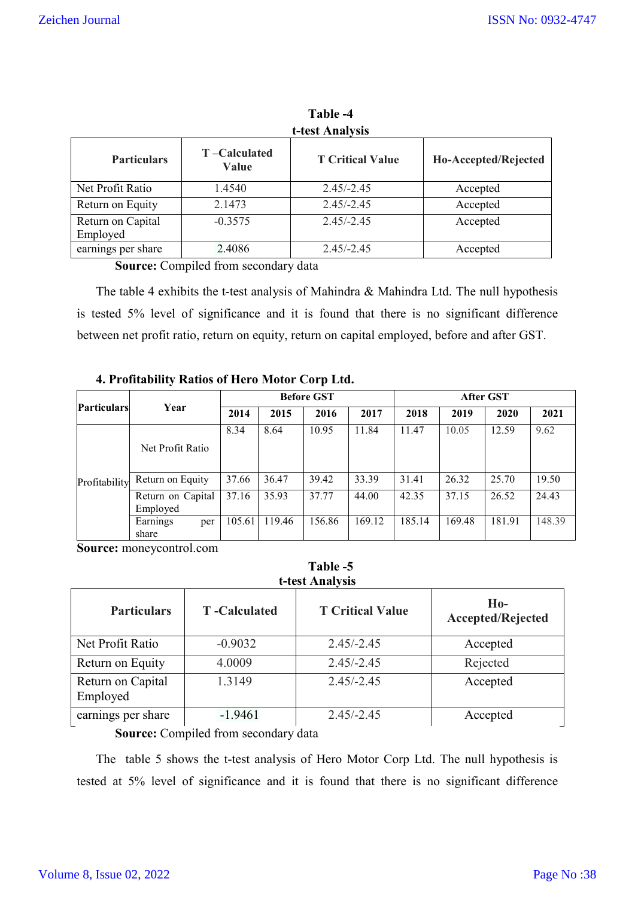| t-test Analysis               |                              |                         |                      |  |  |  |  |  |  |
|-------------------------------|------------------------------|-------------------------|----------------------|--|--|--|--|--|--|
| <b>Particulars</b>            | T-Calculated<br><b>Value</b> | <b>T</b> Critical Value | Ho-Accepted/Rejected |  |  |  |  |  |  |
| Net Profit Ratio              | 1.4540                       | $2.45/-2.45$            | Accepted             |  |  |  |  |  |  |
| Return on Equity              | 2.1473                       | $2.45/-2.45$            | Accepted             |  |  |  |  |  |  |
| Return on Capital<br>Employed | $-0.3575$                    | $2.45/-2.45$            | Accepted             |  |  |  |  |  |  |
| earnings per share            | 2.4086                       | $2.45/-2.45$            | Accepted             |  |  |  |  |  |  |

**Table -4**

**Source:** Compiled from secondary data

The table 4 exhibits the t-test analysis of Mahindra & Mahindra Ltd. The null hypothesis is tested 5% level of significance and it is found that there is no significant difference between net profit ratio, return on equity, return on capital employed, before and after GST.

# **4. Profitability Ratios of Hero Motor Corp Ltd.**

|                    |                               | <b>Before GST</b> |        |        |        | After GST |        |        |        |
|--------------------|-------------------------------|-------------------|--------|--------|--------|-----------|--------|--------|--------|
| <b>Particulars</b> | Year                          | 2014              | 2015   | 2016   | 2017   | 2018      | 2019   | 2020   | 2021   |
|                    | Net Profit Ratio              | 8.34              | 8.64   | 10.95  | 11.84  | 11.47     | 10.05  | 12.59  | 9.62   |
| Profitability      | Return on Equity              | 37.66             | 36.47  | 39.42  | 33.39  | 31.41     | 26.32  | 25.70  | 19.50  |
|                    | Return on Capital<br>Employed | 37.16             | 35.93  | 37.77  | 44.00  | 42.35     | 37.15  | 26.52  | 24.43  |
|                    | Earnings<br>per<br>share      | 105.61            | 119.46 | 156.86 | 169.12 | 185.14    | 169.48 | 181.91 | 148.39 |

**Table -5**

**Source:** moneycontrol.com

| t-test Analysis               |                      |                         |                                   |  |  |  |  |  |  |
|-------------------------------|----------------------|-------------------------|-----------------------------------|--|--|--|--|--|--|
| <b>Particulars</b>            | <b>T</b> -Calculated | <b>T Critical Value</b> | $Ho-$<br><b>Accepted/Rejected</b> |  |  |  |  |  |  |
| Net Profit Ratio              | $-0.9032$            | $2.45/-2.45$            | Accepted                          |  |  |  |  |  |  |
| Return on Equity              | 4.0009               | $2.45/-2.45$            | Rejected                          |  |  |  |  |  |  |
| Return on Capital<br>Employed | 1.3149               | $2.45/-2.45$            | Accepted                          |  |  |  |  |  |  |
| earnings per share            | $-1.9461$            | $2.45/-2.45$            | Accepted                          |  |  |  |  |  |  |

**Source:** Compiled from secondary data

The table 5 shows the t-test analysis of Hero Motor Corp Ltd. The null hypothesis is tested at 5% level of significance and it is found that there is no significant difference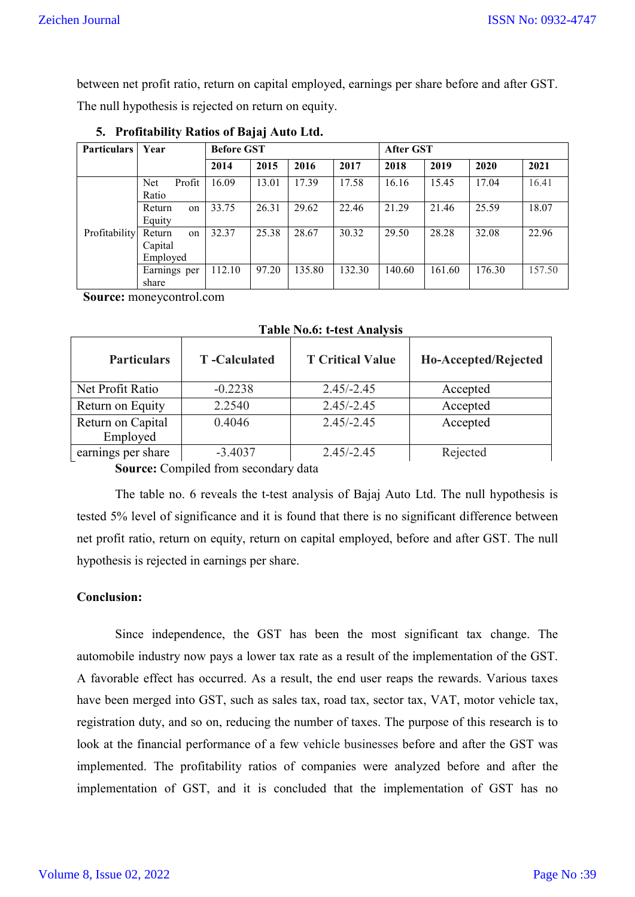between net profit ratio, return on capital employed, earnings per share before and after GST.

The null hypothesis is rejected on return on equity.

| <b>Particulars</b> | Year                                | <b>Before GST</b> |       |        |        | After GST |        |        |        |  |
|--------------------|-------------------------------------|-------------------|-------|--------|--------|-----------|--------|--------|--------|--|
|                    |                                     | 2014              | 2015  | 2016   | 2017   | 2018      | 2019   | 2020   | 2021   |  |
|                    | Net<br>Profit<br>Ratio              | 16.09             | 13.01 | 17.39  | 17.58  | 16.16     | 15.45  | 17.04  | 16.41  |  |
|                    | Return<br>on<br>Equity              | 33.75             | 26.31 | 29.62  | 22.46  | 21.29     | 21.46  | 25.59  | 18.07  |  |
| Profitability      | Return<br>on<br>Capital<br>Employed | 32.37             | 25.38 | 28.67  | 30.32  | 29.50     | 28.28  | 32.08  | 22.96  |  |
|                    | Earnings per<br>share               | 112.10            | 97.20 | 135.80 | 132.30 | 140.60    | 161.60 | 176.30 | 157.50 |  |

**5. Profitability Ratios of Bajaj Auto Ltd.**

 **Source:** moneycontrol.com

|                               |                      | Table Tw.v. Cost Timal , 515 |                      |
|-------------------------------|----------------------|------------------------------|----------------------|
| <b>Particulars</b>            | <b>T</b> -Calculated | <b>T Critical Value</b>      | Ho-Accepted/Rejected |
| Net Profit Ratio              | $-0.2238$            | $2.45/-2.45$                 | Accepted             |
| Return on Equity              | 2.2540               | $2.45/-2.45$                 | Accepted             |
| Return on Capital<br>Employed | 0.4046               | $2.45/-2.45$                 | Accepted             |
| earnings per share            | $-3.4037$            | $2.45/-2.45$                 | Rejected             |

**Table No.6: t-test Analysis**

**Source:** Compiled from secondary data

The table no. 6 reveals the t-test analysis of Bajaj Auto Ltd. The null hypothesis is tested 5% level of significance and it is found that there is no significant difference between net profit ratio, return on equity, return on capital employed, before and after GST. The null hypothesis is rejected in earnings per share.

## **Conclusion:**

Since independence, the GST has been the most significant tax change. The automobile industry now pays a lower tax rate as a result of the implementation of the GST. A favorable effect has occurred. As a result, the end user reaps the rewards. Various taxes have been merged into GST, such as sales tax, road tax, sector tax, VAT, motor vehicle tax, registration duty, and so on, reducing the number of taxes. The purpose of this research is to look at the financial performance of a few vehicle businesses before and after the GST was implemented. The profitability ratios of companies were analyzed before and after the implementation of GST, and it is concluded that the implementation of GST has no